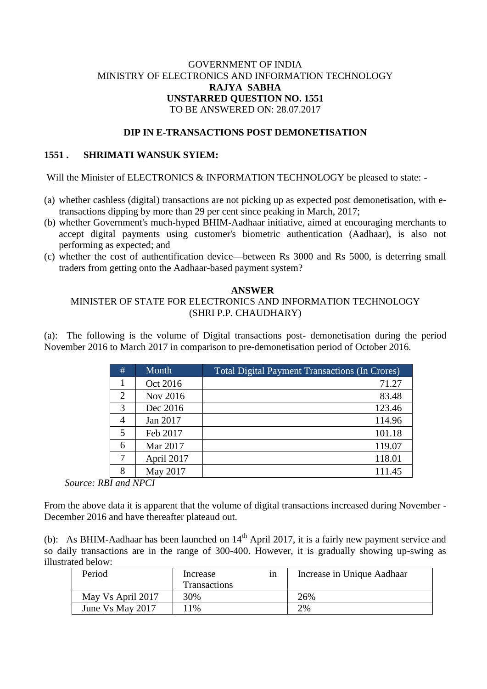# GOVERNMENT OF INDIA MINISTRY OF ELECTRONICS AND INFORMATION TECHNOLOGY **RAJYA SABHA UNSTARRED QUESTION NO. 1551** TO BE ANSWERED ON: 28.07.2017

## **DIP IN E-TRANSACTIONS POST DEMONETISATION**

### **1551 . SHRIMATI WANSUK SYIEM:**

Will the Minister of ELECTRONICS & INFORMATION TECHNOLOGY be pleased to state: -

- (a) whether cashless (digital) transactions are not picking up as expected post demonetisation, with etransactions dipping by more than 29 per cent since peaking in March, 2017;
- (b) whether Government's much-hyped BHIM-Aadhaar initiative, aimed at encouraging merchants to accept digital payments using customer's biometric authentication (Aadhaar), is also not performing as expected; and
- (c) whether the cost of authentification device—between Rs 3000 and Rs 5000, is deterring small traders from getting onto the Aadhaar-based payment system?

### **ANSWER**

## MINISTER OF STATE FOR ELECTRONICS AND INFORMATION TECHNOLOGY (SHRI P.P. CHAUDHARY)

(a): The following is the volume of Digital transactions post- demonetisation during the period November 2016 to March 2017 in comparison to pre-demonetisation period of October 2016.

| # | Month      | <b>Total Digital Payment Transactions (In Crores)</b> |
|---|------------|-------------------------------------------------------|
|   | Oct 2016   | 71.27                                                 |
| 2 | Nov 2016   | 83.48                                                 |
| 3 | Dec 2016   | 123.46                                                |
| 4 | Jan 2017   | 114.96                                                |
| 5 | Feb 2017   | 101.18                                                |
| 6 | Mar 2017   | 119.07                                                |
| 7 | April 2017 | 118.01                                                |
| 8 | May 2017   | 111.45                                                |

*Source: RBI and NPCI*

From the above data it is apparent that the volume of digital transactions increased during November - December 2016 and have thereafter plateaud out.

(b): As BHIM-Aadhaar has been launched on  $14<sup>th</sup>$  April 2017, it is a fairly new payment service and so daily transactions are in the range of 300-400. However, it is gradually showing up-swing as illustrated below:

| Period            | Increase            | 1n | Increase in Unique Aadhaar |
|-------------------|---------------------|----|----------------------------|
|                   | <b>Transactions</b> |    |                            |
| May Vs April 2017 | 30%                 |    | 26%                        |
| June Vs May 2017  | $1\%$               |    | 2%                         |